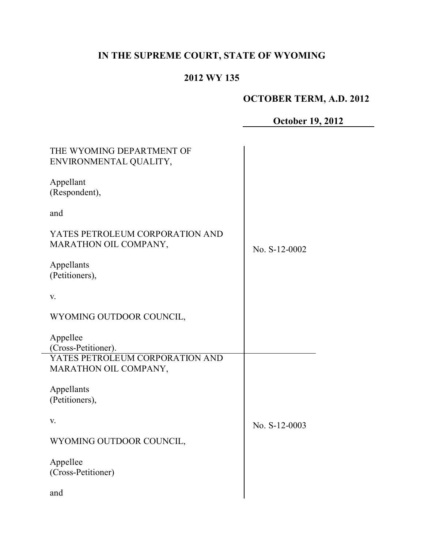# **IN THE SUPREME COURT, STATE OF WYOMING**

# **2012 WY 135**

# **OCTOBER TERM, A.D. 2012**

# **October 19, 2012**

| THE WYOMING DEPARTMENT OF<br>ENVIRONMENTAL QUALITY,      |               |
|----------------------------------------------------------|---------------|
| Appellant<br>(Respondent),                               |               |
| and                                                      |               |
| YATES PETROLEUM CORPORATION AND<br>MARATHON OIL COMPANY, | No. S-12-0002 |
| Appellants<br>(Petitioners),                             |               |
| V.                                                       |               |
| WYOMING OUTDOOR COUNCIL,                                 |               |
| Appellee<br>(Cross-Petitioner).                          |               |
| YATES PETROLEUM CORPORATION AND<br>MARATHON OIL COMPANY, |               |
| Appellants<br>(Petitioners),                             |               |
| V.                                                       | No. S-12-0003 |
| WYOMING OUTDOOR COUNCIL,                                 |               |
| Appellee<br>(Cross-Petitioner)                           |               |
| and                                                      |               |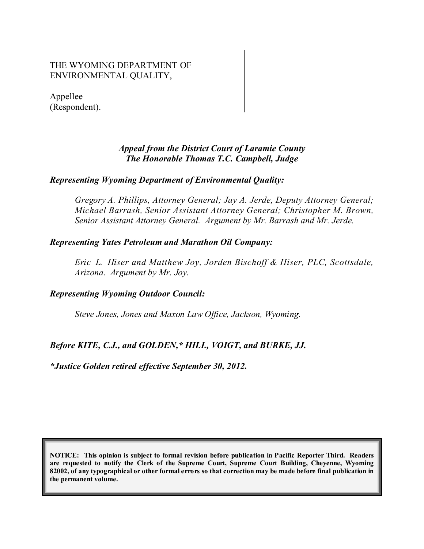### THE WYOMING DEPARTMENT OF ENVIRONMENTAL QUALITY,

Appellee (Respondent).

### *Appeal from the District Court of Laramie County The Honorable Thomas T.C. Campbell, Judge*

#### *Representing Wyoming Department of Environmental Quality:*

*Gregory A. Phillips, Attorney General; Jay A. Jerde, Deputy Attorney General; Michael Barrash, Senior Assistant Attorney General; Christopher M. Brown, Senior Assistant Attorney General. Argument by Mr. Barrash and Mr. Jerde.*

#### *Representing Yates Petroleum and Marathon Oil Company:*

*Eric L. Hiser and Matthew Joy, Jorden Bischoff & Hiser, PLC, Scottsdale, Arizona. Argument by Mr. Joy.*

#### *Representing Wyoming Outdoor Council:*

*Steve Jones, Jones and Maxon Law Office, Jackson, Wyoming.*

## *Before KITE, C.J., and GOLDEN,\* HILL, VOIGT, and BURKE, JJ.*

*\*Justice Golden retired effective September 30, 2012.*

**NOTICE: This opinion is subject to formal revision before publication in Pacific Reporter Third. Readers are requested to notify the Clerk of the Supreme Court, Supreme Court Building, Cheyenne, Wyoming** 82002, of any typographical or other formal errors so that correction may be made before final publication in **the permanent volume.**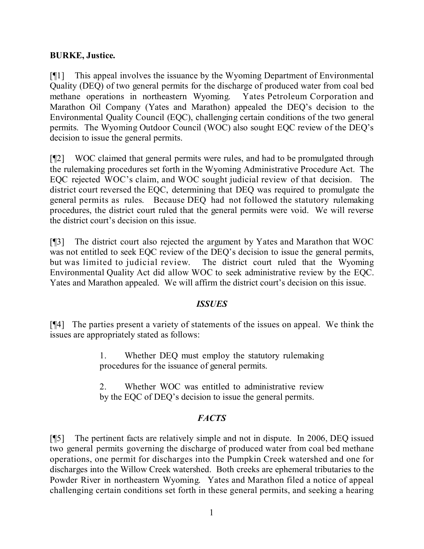### **BURKE, Justice.**

[¶1] This appeal involves the issuance by the Wyoming Department of Environmental Quality (DEQ) of two general permits for the discharge of produced water from coal bed methane operations in northeastern Wyoming. Yates Petroleum Corporation and Marathon Oil Company (Yates and Marathon) appealed the DEQ's decision to the Environmental Quality Council (EQC), challenging certain conditions of the two general permits. The Wyoming Outdoor Council (WOC) also sought EQC review of the DEQ's decision to issue the general permits.

[¶2] WOC claimed that general permits were rules, and had to be promulgated through the rulemaking procedures set forth in the Wyoming Administrative Procedure Act. The EQC rejected WOC's claim, and WOC sought judicial review of that decision. The district court reversed the EQC, determining that DEQ was required to promulgate the general permits as rules. Because DEQ had not followed the statutory rulemaking procedures, the district court ruled that the general permits were void. We will reverse the district court's decision on this issue.

[¶3] The district court also rejected the argument by Yates and Marathon that WOC was not entitled to seek EQC review of the DEQ's decision to issue the general permits, but was limited to judicial review. The district court ruled that the Wyoming Environmental Quality Act did allow WOC to seek administrative review by the EQC. Yates and Marathon appealed. We will affirm the district court's decision on this issue.

#### *ISSUES*

[¶4] The parties present a variety of statements of the issues on appeal. We think the issues are appropriately stated as follows:

> 1. Whether DEQ must employ the statutory rulemaking procedures for the issuance of general permits.

> 2. Whether WOC was entitled to administrative review by the EQC of DEQ's decision to issue the general permits.

## *FACTS*

[¶5] The pertinent facts are relatively simple and not in dispute. In 2006, DEQ issued two general permits governing the discharge of produced water from coal bed methane operations, one permit for discharges into the Pumpkin Creek watershed and one for discharges into the Willow Creek watershed. Both creeks are ephemeral tributaries to the Powder River in northeastern Wyoming. Yates and Marathon filed a notice of appeal challenging certain conditions set forth in these general permits, and seeking a hearing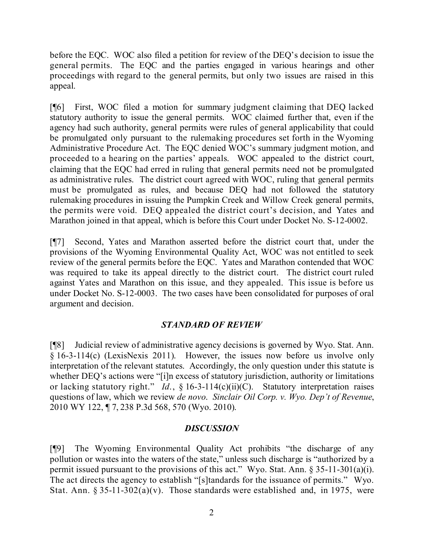before the EQC. WOC also filed a petition for review of the DEQ's decision to issue the general permits. The EQC and the parties engaged in various hearings and other proceedings with regard to the general permits, but only two issues are raised in this appeal.

[¶6] First, WOC filed a motion for summary judgment claiming that DEQ lacked statutory authority to issue the general permits. WOC claimed further that, even if the agency had such authority, general permits were rules of general applicability that could be promulgated only pursuant to the rulemaking procedures set forth in the Wyoming Administrative Procedure Act. The EQC denied WOC's summary judgment motion, and proceeded to a hearing on the parties' appeals. WOC appealed to the district court, claiming that the EQC had erred in ruling that general permits need not be promulgated as administrative rules. The district court agreed with WOC, ruling that general permits must be promulgated as rules, and because DEQ had not followed the statutory rulemaking procedures in issuing the Pumpkin Creek and Willow Creek general permits, the permits were void. DEQ appealed the district court's decision, and Yates and Marathon joined in that appeal, which is before this Court under Docket No. S-12-0002.

[¶7] Second, Yates and Marathon asserted before the district court that, under the provisions of the Wyoming Environmental Quality Act, WOC was not entitled to seek review of the general permits before the EQC. Yates and Marathon contended that WOC was required to take its appeal directly to the district court. The district court ruled against Yates and Marathon on this issue, and they appealed. This issue is before us under Docket No. S-12-0003. The two cases have been consolidated for purposes of oral argument and decision.

#### *STANDARD OF REVIEW*

[¶8] Judicial review of administrative agency decisions is governed by Wyo. Stat. Ann. § 16-3-114(c) (LexisNexis 2011). However, the issues now before us involve only interpretation of the relevant statutes. Accordingly, the only question under this statute is whether DEQ's actions were "[i]n excess of statutory jurisdiction, authority or limitations or lacking statutory right." *Id*., § 16-3-114(c)(ii)(C). Statutory interpretation raises questions of law, which we review *de novo*. *Sinclair Oil Corp. v. Wyo. Dep't of Revenue*, 2010 WY 122, ¶ 7, 238 P.3d 568, 570 (Wyo. 2010).

#### *DISCUSSION*

[¶9] The Wyoming Environmental Quality Act prohibits "the discharge of any pollution or wastes into the waters of the state," unless such discharge is "authorized by a permit issued pursuant to the provisions of this act." Wyo. Stat. Ann. § 35-11-301(a)(i). The act directs the agency to establish "[s]tandards for the issuance of permits." Wyo. Stat. Ann. § 35-11-302(a)(v). Those standards were established and, in 1975, were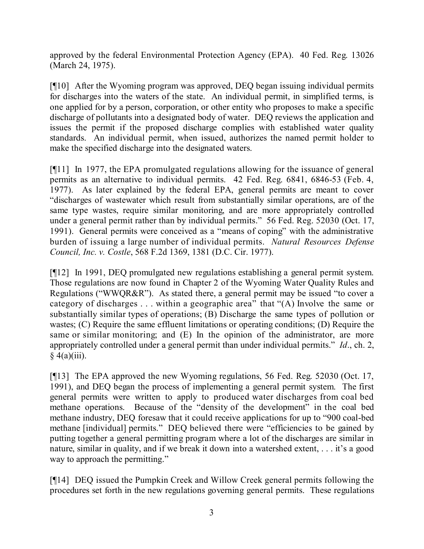approved by the federal Environmental Protection Agency (EPA). 40 Fed. Reg. 13026 (March 24, 1975).

[¶10] After the Wyoming program was approved, DEQ began issuing individual permits for discharges into the waters of the state. An individual permit, in simplified terms, is one applied for by a person, corporation, or other entity who proposes to make a specific discharge of pollutants into a designated body of water. DEQ reviews the application and issues the permit if the proposed discharge complies with established water quality standards. An individual permit, when issued, authorizes the named permit holder to make the specified discharge into the designated waters.

[¶11] In 1977, the EPA promulgated regulations allowing for the issuance of general permits as an alternative to individual permits. 42 Fed. Reg. 6841, 6846-53 (Feb. 4, 1977). As later explained by the federal EPA, general permits are meant to cover "discharges of wastewater which result from substantially similar operations, are of the same type wastes, require similar monitoring, and are more appropriately controlled under a general permit rather than by individual permits." 56 Fed. Reg. 52030 (Oct. 17, 1991). General permits were conceived as a "means of coping" with the administrative burden of issuing a large number of individual permits. *Natural Resources Defense Council, Inc. v. Costle*, 568 F.2d 1369, 1381 (D.C. Cir. 1977).

[¶12] In 1991, DEQ promulgated new regulations establishing a general permit system. Those regulations are now found in Chapter 2 of the Wyoming Water Quality Rules and Regulations ("WWQR&R"). As stated there, a general permit may be issued "to cover a category of discharges  $\dots$  within a geographic area" that " $(A)$  Involve the same or substantially similar types of operations; (B) Discharge the same types of pollution or wastes; (C) Require the same effluent limitations or operating conditions; (D) Require the same or similar monitoring; and (E) In the opinion of the administrator, are more appropriately controlled under a general permit than under individual permits." *Id*., ch. 2,  $\sqrt{4(a)}$ (iii).

[¶13] The EPA approved the new Wyoming regulations, 56 Fed. Reg. 52030 (Oct. 17, 1991), and DEQ began the process of implementing a general permit system. The first general permits were written to apply to produced water discharges from coal bed methane operations. Because of the "density of the development" in the coal bed methane industry, DEQ foresaw that it could receive applications for up to "900 coal-bed methane [individual] permits." DEQ believed there were "efficiencies to be gained by putting together a general permitting program where a lot of the discharges are similar in nature, similar in quality, and if we break it down into a watershed extent, . . . it's a good way to approach the permitting."

[¶14] DEQ issued the Pumpkin Creek and Willow Creek general permits following the procedures set forth in the new regulations governing general permits. These regulations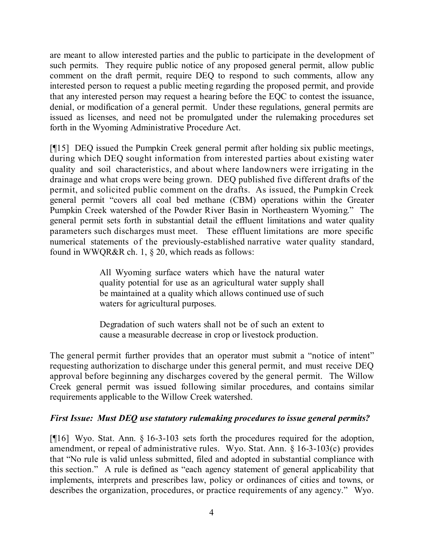are meant to allow interested parties and the public to participate in the development of such permits. They require public notice of any proposed general permit, allow public comment on the draft permit, require DEQ to respond to such comments, allow any interested person to request a public meeting regarding the proposed permit, and provide that any interested person may request a hearing before the EQC to contest the issuance, denial, or modification of a general permit. Under these regulations, general permits are issued as licenses, and need not be promulgated under the rulemaking procedures set forth in the Wyoming Administrative Procedure Act.

[¶15] DEQ issued the Pumpkin Creek general permit after holding six public meetings, during which DEQ sought information from interested parties about existing water quality and soil characteristics, and about where landowners were irrigating in the drainage and what crops were being grown. DEQ published five different drafts of the permit, and solicited public comment on the drafts. As issued, the Pumpkin Creek general permit "covers all coal bed methane (CBM) operations within the Greater Pumpkin Creek watershed of the Powder River Basin in Northeastern Wyoming." The general permit sets forth in substantial detail the effluent limitations and water quality parameters such discharges must meet. These effluent limitations are more specific numerical statements of the previously-established narrative water quality standard, found in WWQR&R ch. 1, § 20, which reads as follows:

> All Wyoming surface waters which have the natural water quality potential for use as an agricultural water supply shall be maintained at a quality which allows continued use of such waters for agricultural purposes.

> Degradation of such waters shall not be of such an extent to cause a measurable decrease in crop or livestock production.

The general permit further provides that an operator must submit a "notice of intent" requesting authorization to discharge under this general permit, and must receive DEQ approval before beginning any discharges covered by the general permit. The Willow Creek general permit was issued following similar procedures, and contains similar requirements applicable to the Willow Creek watershed.

#### *First Issue: Must DEQ use statutory rulemaking procedures to issue general permits?*

[¶16] Wyo. Stat. Ann. § 16-3-103 sets forth the procedures required for the adoption, amendment, or repeal of administrative rules. Wyo. Stat. Ann. § 16-3-103(c) provides that "No rule is valid unless submitted, filed and adopted in substantial compliance with this section." A rule is defined as "each agency statement of general applicability that implements, interprets and prescribes law, policy or ordinances of cities and towns, or describes the organization, procedures, or practice requirements of any agency." Wyo.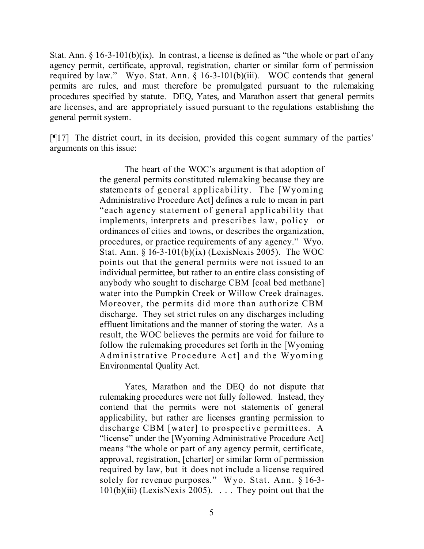Stat. Ann.  $\S 16-3-101(b)(ix)$ . In contrast, a license is defined as "the whole or part of any agency permit, certificate, approval, registration, charter or similar form of permission required by law." Wyo. Stat. Ann. § 16-3-101(b)(iii). WOC contends that general permits are rules, and must therefore be promulgated pursuant to the rulemaking procedures specified by statute. DEQ, Yates, and Marathon assert that general permits are licenses, and are appropriately issued pursuant to the regulations establishing the general permit system.

[¶17] The district court, in its decision, provided this cogent summary of the parties' arguments on this issue:

> The heart of the WOC's argument is that adoption of the general permits constituted rulemaking because they are statements of general applicability. The [Wyoming Administrative Procedure Act] defines a rule to mean in part "each agency statement of general applicability that implements, interprets and prescribes law, policy or ordinances of cities and towns, or describes the organization, procedures, or practice requirements of any agency." Wyo. Stat. Ann. § 16-3-101(b)(ix) (LexisNexis 2005). The WOC points out that the general permits were not issued to an individual permittee, but rather to an entire class consisting of anybody who sought to discharge CBM [coal bed methane] water into the Pumpkin Creek or Willow Creek drainages. Moreover, the permits did more than authorize CBM discharge. They set strict rules on any discharges including effluent limitations and the manner of storing the water. As a result, the WOC believes the permits are void for failure to follow the rulemaking procedures set forth in the [Wyoming Administrative Procedure Act] and the Wyoming Environmental Quality Act.

> Yates, Marathon and the DEQ do not dispute that rulemaking procedures were not fully followed. Instead, they contend that the permits were not statements of general applicability, but rather are licenses granting permission to discharge CBM [water] to prospective permittees. A "license" under the [Wyoming Administrative Procedure Act] means "the whole or part of any agency permit, certificate, approval, registration, [charter] or similar form of permission required by law, but it does not include a license required solely for revenue purposes." Wyo. Stat. Ann. § 16-3- 101(b)(iii) (LexisNexis 2005). . . . They point out that the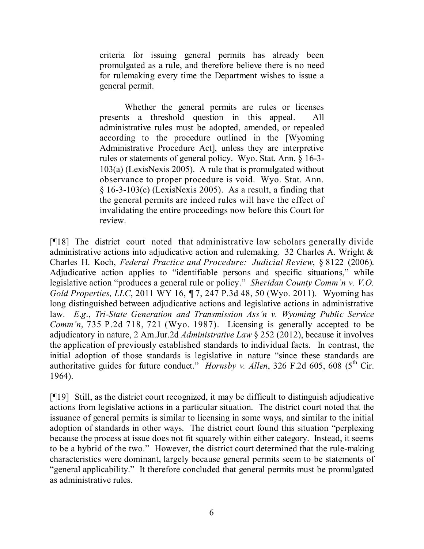criteria for issuing general permits has already been promulgated as a rule, and therefore believe there is no need for rulemaking every time the Department wishes to issue a general permit.

Whether the general permits are rules or licenses presents a threshold question in this appeal. All administrative rules must be adopted, amended, or repealed according to the procedure outlined in the [Wyoming Administrative Procedure Act], unless they are interpretive rules or statements of general policy. Wyo. Stat. Ann. § 16-3- 103(a) (LexisNexis 2005). A rule that is promulgated without observance to proper procedure is void. Wyo. Stat. Ann.  $§$  16-3-103(c) (LexisNexis 2005). As a result, a finding that the general permits are indeed rules will have the effect of invalidating the entire proceedings now before this Court for review.

[¶18] The district court noted that administrative law scholars generally divide administrative actions into adjudicative action and rulemaking. 32 Charles A. Wright & Charles H. Koch, *Federal Practice and Procedure: Judicial Review*, § 8122 (2006). Adjudicative action applies to "identifiable persons and specific situations," while legislative action "produces a general rule or policy." *Sheridan County Comm'n v. V.O. Gold Properties, LLC*, 2011 WY 16, ¶ 7, 247 P.3d 48, 50 (Wyo. 2011). Wyoming has long distinguished between adjudicative actions and legislative actions in administrative law. *E*.*g*., *Tri-State Generation and Transmission Ass'n v. Wyoming Public Service Comm'n*, 735 P.2d 718, 721 (Wyo. 1987). Licensing is generally accepted to be adjudicatory in nature, 2 Am.Jur.2d *Administrative Law* § 252 (2012), because it involves the application of previously established standards to individual facts. In contrast, the initial adoption of those standards is legislative in nature "since these standards are authoritative guides for future conduct." *Hornsby v. Allen*, 326 F.2d 605, 608 (5<sup>th</sup> Cir. 1964).

[¶19] Still, as the district court recognized, it may be difficult to distinguish adjudicative actions from legislative actions in a particular situation. The district court noted that the issuance of general permits is similar to licensing in some ways, and similar to the initial adoption of standards in other ways. The district court found this situation "perplexing because the process at issue does not fit squarely within either category. Instead, it seems to be a hybrid of the two." However, the district court determined that the rule-making characteristics were dominant, largely because general permits seem to be statements of "general applicability." It therefore concluded that general permits must be promulgated as administrative rules.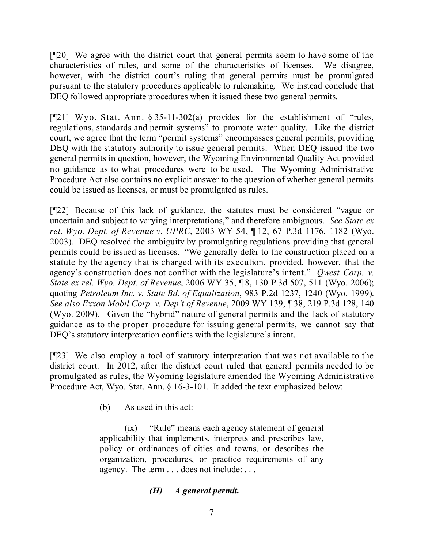[¶20] We agree with the district court that general permits seem to have some of the characteristics of rules, and some of the characteristics of licenses. We disagree, however, with the district court's ruling that general permits must be promulgated pursuant to the statutory procedures applicable to rulemaking. We instead conclude that DEQ followed appropriate procedures when it issued these two general permits.

[¶21] Wyo. Stat. Ann. § 35-11-302(a) provides for the establishment of "rules, regulations, standards and permit systems" to promote water quality. Like the district court, we agree that the term "permit systems" encompasses general permits, providing DEQ with the statutory authority to issue general permits. When DEQ issued the two general permits in question, however, the Wyoming Environmental Quality Act provided no guidance as to what procedures were to be used. The Wyoming Administrative Procedure Act also contains no explicit answer to the question of whether general permits could be issued as licenses, or must be promulgated as rules.

[¶22] Because of this lack of guidance, the statutes must be considered "vague or uncertain and subject to varying interpretations," and therefore ambiguous. *See State ex rel. Wyo. Dept. of Revenue v. UPRC*, 2003 WY 54, ¶ 12, 67 P.3d 1176, 1182 (Wyo. 2003). DEQ resolved the ambiguity by promulgating regulations providing that general permits could be issued as licenses. "We generally defer to the construction placed on a statute by the agency that is charged with its execution, provided, however, that the agency's construction does not conflict with the legislature's intent." *Qwest Corp. v. State ex rel. Wyo. Dept. of Revenue*, 2006 WY 35, ¶ 8, 130 P.3d 507, 511 (Wyo. 2006); quoting *Petroleum Inc. v. State Bd. of Equalization*, 983 P.2d 1237, 1240 (Wyo. 1999). *See also Exxon Mobil Corp. v. Dep't of Revenue*, 2009 WY 139, ¶ 38, 219 P.3d 128, 140 (Wyo. 2009). Given the "hybrid" nature of general permits and the lack of statutory guidance as to the proper procedure for issuing general permits, we cannot say that DEQ's statutory interpretation conflicts with the legislature's intent.

[¶23] We also employ a tool of statutory interpretation that was not available to the district court. In 2012, after the district court ruled that general permits needed to be promulgated as rules, the Wyoming legislature amended the Wyoming Administrative Procedure Act, Wyo. Stat. Ann. § 16-3-101. It added the text emphasized below:

(b) As used in this act:

(ix) "Rule" means each agency statement of general applicability that implements, interprets and prescribes law, policy or ordinances of cities and towns, or describes the organization, procedures, or practice requirements of any agency. The term . . . does not include: . . .

## *(H) A general permit.*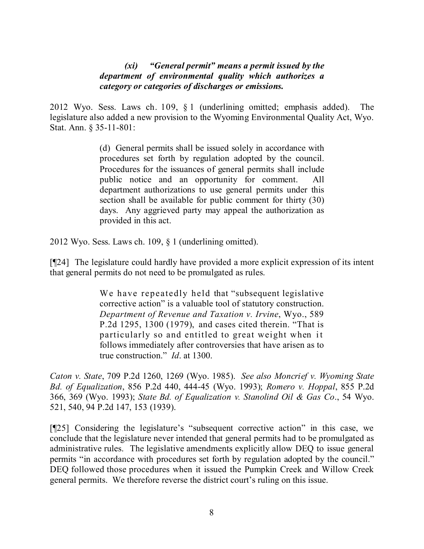#### *(xi) "General permit" means a permit issued by the department of environmental quality which authorizes a category or categories of discharges or emissions.*

2012 Wyo. Sess. Laws ch. 109, § 1 (underlining omitted; emphasis added). The legislature also added a new provision to the Wyoming Environmental Quality Act, Wyo. Stat. Ann. § 35-11-801:

> (d) General permits shall be issued solely in accordance with procedures set forth by regulation adopted by the council. Procedures for the issuances of general permits shall include public notice and an opportunity for comment. All department authorizations to use general permits under this section shall be available for public comment for thirty (30) days. Any aggrieved party may appeal the authorization as provided in this act.

2012 Wyo. Sess. Laws ch. 109, § 1 (underlining omitted).

[¶24] The legislature could hardly have provided a more explicit expression of its intent that general permits do not need to be promulgated as rules.

> We have repeatedly held that "subsequent legislative corrective action" is a valuable tool of statutory construction. *Department of Revenue and Taxation v. Irvine*, Wyo., 589 P.2d 1295, 1300 (1979), and cases cited therein. "That is particularly so and entitled to great weight when it follows immediately after controversies that have arisen as to true construction." *Id*. at 1300.

*Caton v. State*, 709 P.2d 1260, 1269 (Wyo. 1985). *See also Moncrief v. Wyoming State Bd. of Equalization*, 856 P.2d 440, 444-45 (Wyo. 1993); *Romero v. Hoppal*, 855 P.2d 366, 369 (Wyo. 1993); *State Bd. of Equalization v. Stanolind Oil & Gas Co*., 54 Wyo. 521, 540, 94 P.2d 147, 153 (1939).

[¶25] Considering the legislature's "subsequent corrective action" in this case, we conclude that the legislature never intended that general permits had to be promulgated as administrative rules. The legislative amendments explicitly allow DEQ to issue general permits "in accordance with procedures set forth by regulation adopted by the council." DEQ followed those procedures when it issued the Pumpkin Creek and Willow Creek general permits. We therefore reverse the district court's ruling on this issue.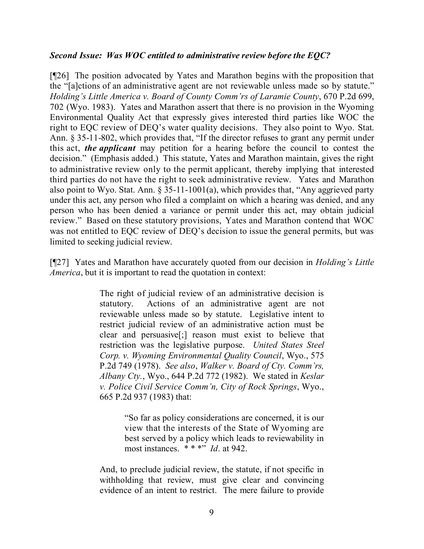#### *Second Issue: Was WOC entitled to administrative review before the EQC?*

[¶26] The position advocated by Yates and Marathon begins with the proposition that the "[a]ctions of an administrative agent are not reviewable unless made so by statute." *Holding's Little America v. Board of County Comm'rs of Laramie County*, 670 P.2d 699, 702 (Wyo. 1983). Yates and Marathon assert that there is no provision in the Wyoming Environmental Quality Act that expressly gives interested third parties like WOC the right to EQC review of DEQ's water quality decisions. They also point to Wyo. Stat. Ann. § 35-11-802, which provides that, "If the director refuses to grant any permit under this act, *the applicant* may petition for a hearing before the council to contest the decision." (Emphasis added.) This statute, Yates and Marathon maintain, gives the right to administrative review only to the permit applicant, thereby implying that interested third parties do not have the right to seek administrative review. Yates and Marathon also point to Wyo. Stat. Ann. § 35-11-1001(a), which provides that, "Any aggrieved party under this act, any person who filed a complaint on which a hearing was denied, and any person who has been denied a variance or permit under this act, may obtain judicial review." Based on these statutory provisions, Yates and Marathon contend that WOC was not entitled to EQC review of DEQ's decision to issue the general permits, but was limited to seeking judicial review.

[¶27] Yates and Marathon have accurately quoted from our decision in *Holding's Little America*, but it is important to read the quotation in context:

> The right of judicial review of an administrative decision is statutory. Actions of an administrative agent are not reviewable unless made so by statute. Legislative intent to restrict judicial review of an administrative action must be clear and persuasive[;] reason must exist to believe that restriction was the legislative purpose. *United States Steel Corp. v. Wyoming Environmental Quality Council*, Wyo., 575 P.2d 749 (1978). *See also*, *Walker v. Board of Cty. Comm'rs, Albany Cty.*, Wyo., 644 P.2d 772 (1982). We stated in *Keslar v. Police Civil Service Comm'n, City of Rock Springs*, Wyo., 665 P.2d 937 (1983) that:

> > "So far as policy considerations are concerned, it is our view that the interests of the State of Wyoming are best served by a policy which leads to reviewability in most instances. \* \* \*" *Id*. at 942.

And, to preclude judicial review, the statute, if not specific in withholding that review, must give clear and convincing evidence of an intent to restrict. The mere failure to provide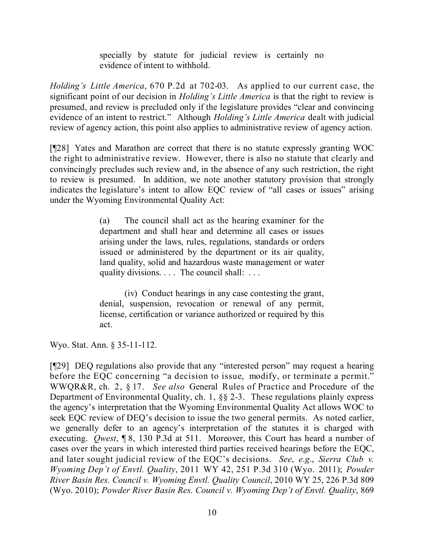specially by statute for judicial review is certainly no evidence of intent to withhold.

*Holding's Little America*, 670 P.2d at 702-03. As applied to our current case, the significant point of our decision in *Holding's Little America* is that the right to review is presumed, and review is precluded only if the legislature provides "clear and convincing evidence of an intent to restrict." Although *Holding's Little America* dealt with judicial review of agency action, this point also applies to administrative review of agency action.

[¶28] Yates and Marathon are correct that there is no statute expressly granting WOC the right to administrative review. However, there is also no statute that clearly and convincingly precludes such review and, in the absence of any such restriction, the right to review is presumed. In addition, we note another statutory provision that strongly indicates the legislature's intent to allow EQC review of "all cases or issues" arising under the Wyoming Environmental Quality Act:

> (a) The council shall act as the hearing examiner for the department and shall hear and determine all cases or issues arising under the laws, rules, regulations, standards or orders issued or administered by the department or its air quality, land quality, solid and hazardous waste management or water quality divisions. . . . The council shall: . . .

> (iv) Conduct hearings in any case contesting the grant, denial, suspension, revocation or renewal of any permit, license, certification or variance authorized or required by this act.

Wyo. Stat. Ann. § 35-11-112.

[¶29] DEQ regulations also provide that any "interested person" may request a hearing before the EQC concerning "a decision to issue, modify, or terminate a permit." WWQR&R, ch. 2, § 17. *See also* General Rules of Practice and Procedure of the Department of Environmental Quality, ch. 1, §§ 2-3. These regulations plainly express the agency's interpretation that the Wyoming Environmental Quality Act allows WOC to seek EQC review of DEQ's decision to issue the two general permits. As noted earlier, we generally defer to an agency's interpretation of the statutes it is charged with executing. *Qwest*, ¶ 8, 130 P.3d at 511. Moreover, this Court has heard a number of cases over the years in which interested third parties received hearings before the EQC, and later sought judicial review of the EQC's decisions. *See*, *e*.*g*., *Sierra Club v. Wyoming Dep't of Envtl. Quality*, 2011 WY 42, 251 P.3d 310 (Wyo. 2011); *Powder River Basin Res. Council v. Wyoming Envtl. Quality Council*, 2010 WY 25, 226 P.3d 809 (Wyo. 2010); *Powder River Basin Res. Council v. Wyoming Dep't of Envtl. Quality*, 869